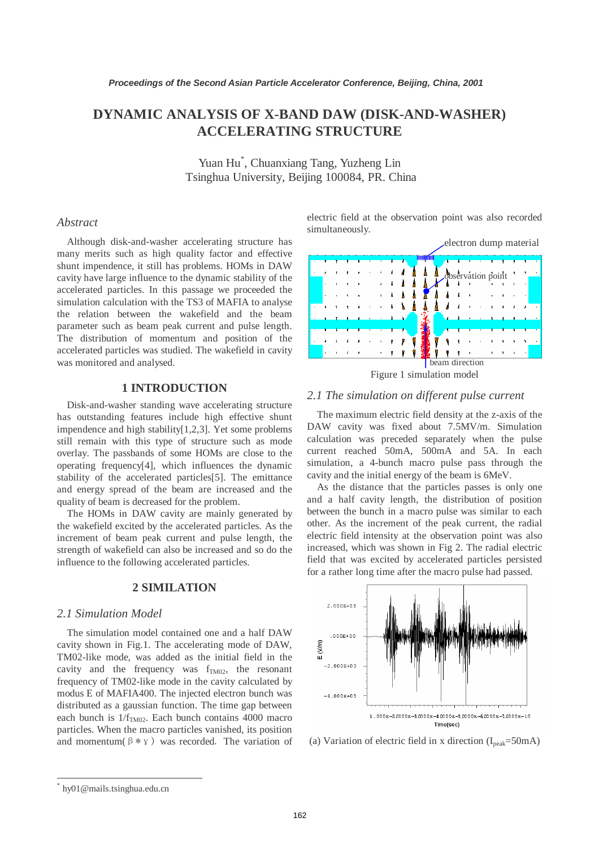# **DYNAMIC ANALYSIS OF X-BAND DAW (DISK-AND-WASHER) ACCELERATING STRUCTURE**

Yuan Hu\* , Chuanxiang Tang, Yuzheng Lin Tsinghua University, Beijing 100084, PR. China

#### *Abstract*

Although disk-and-washer accelerating structure has many merits such as high quality factor and effective shunt impendence, it still has problems. HOMs in DAW cavity have large influence to the dynamic stability of the accelerated particles. In this passage we proceeded the simulation calculation with the TS3 of MAFIA to analyse the relation between the wakefield and the beam parameter such as beam peak current and pulse length. The distribution of momentum and position of the accelerated particles was studied. The wakefield in cavity was monitored and analysed.

# **1 INTRODUCTION**

Disk-and-washer standing wave accelerating structure has outstanding features include high effective shunt impendence and high stability[1,2,3]. Yet some problems still remain with this type of structure such as mode overlay. The passbands of some HOMs are close to the operating frequency[4], which influences the dynamic stability of the accelerated particles[5]. The emittance and energy spread of the beam are increased and the quality of beam is decreased for the problem.

The HOMs in DAW cavity are mainly generated by the wakefield excited by the accelerated particles. As the increment of beam peak current and pulse length, the strength of wakefield can also be increased and so do the influence to the following accelerated particles.

## **2 SIMILATION**

## *2.1 Simulation Model*

The simulation model contained one and a half DAW cavity shown in Fig.1. The accelerating mode of DAW, TM02-like mode, was added as the initial field in the cavity and the frequency was  $f<sub>TM02</sub>$ , the resonant frequency of TM02-like mode in the cavity calculated by modus E of MAFIA400. The injected electron bunch was distributed as a gaussian function. The time gap between each bunch is  $1/f_{TM02}$ . Each bunch contains 4000 macro particles. When the macro particles vanished, its position and momentum( $\beta * \gamma$ ) was recorded. The variation of electric field at the observation point was also recorded simultaneously.



### *2.1 The simulation on different pulse current*

The maximum electric field density at the z-axis of the DAW cavity was fixed about 7.5MV/m. Simulation calculation was preceded separately when the pulse current reached 50mA, 500mA and 5A. In each simulation, a 4-bunch macro pulse pass through the cavity and the initial energy of the beam is 6MeV.

As the distance that the particles passes is only one and a half cavity length, the distribution of position between the bunch in a macro pulse was similar to each other. As the increment of the peak current, the radial electric field intensity at the observation point was also increased, which was shown in Fig 2. The radial electric field that was excited by accelerated particles persisted for a rather long time after the macro pulse had passed.



(a) Variation of electric field in x direction  $(I_{peak}=50mA)$ 

 $\overline{\phantom{a}}$ 

<sup>\*</sup> hy01@mails.tsinghua.edu.cn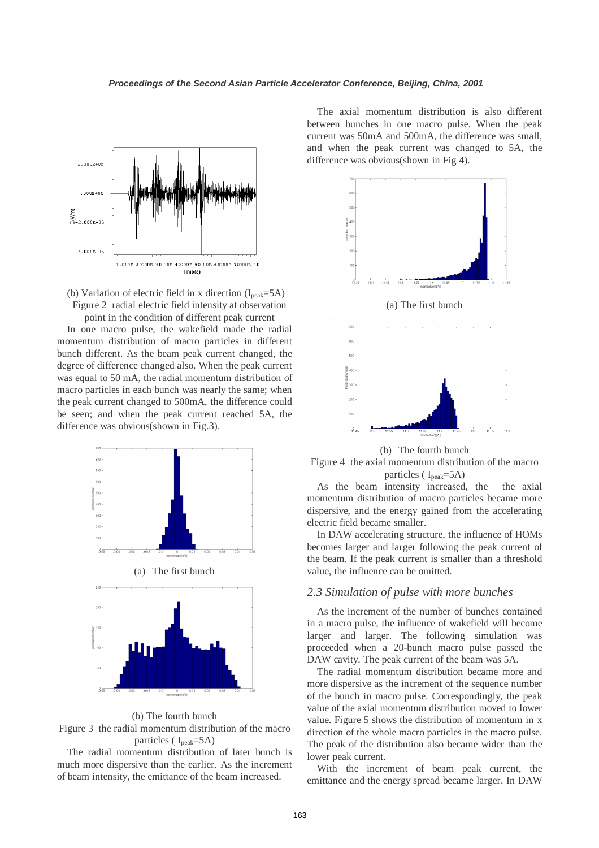

(b) Variation of electric field in x direction  $(I_{peak}=5A)$ Figure 2 radial electric field intensity at observation

point in the condition of different peak current In one macro pulse, the wakefield made the radial momentum distribution of macro particles in different bunch different. As the beam peak current changed, the degree of difference changed also. When the peak current was equal to 50 mA, the radial momentum distribution of macro particles in each bunch was nearly the same; when the peak current changed to 500mA, the difference could be seen; and when the peak current reached 5A, the difference was obvious(shown in Fig.3).





Figure 3 the radial momentum distribution of the macro particles ( $I_{peak}=5A$ )

The radial momentum distribution of later bunch is much more dispersive than the earlier. As the increment of beam intensity, the emittance of the beam increased.

The axial momentum distribution is also different between bunches in one macro pulse. When the peak current was 50mA and 500mA, the difference was small, and when the peak current was changed to 5A, the difference was obvious(shown in Fig 4).





(b) The fourth bunch Figure 4 the axial momentum distribution of the macro particles ( $I_{peak}=5A$ )

As the beam intensity increased, the the axial momentum distribution of macro particles became more dispersive, and the energy gained from the accelerating

electric field became smaller. In DAW accelerating structure, the influence of HOMs becomes larger and larger following the peak current of the beam. If the peak current is smaller than a threshold value, the influence can be omitted.

### *2.3 Simulation of pulse with more bunches*

As the increment of the number of bunches contained in a macro pulse, the influence of wakefield will become larger and larger. The following simulation was proceeded when a 20-bunch macro pulse passed the DAW cavity. The peak current of the beam was 5A.

The radial momentum distribution became more and more dispersive as the increment of the sequence number of the bunch in macro pulse. Correspondingly, the peak value of the axial momentum distribution moved to lower value. Figure 5 shows the distribution of momentum in x direction of the whole macro particles in the macro pulse. The peak of the distribution also became wider than the lower peak current.

With the increment of beam peak current, the emittance and the energy spread became larger. In DAW